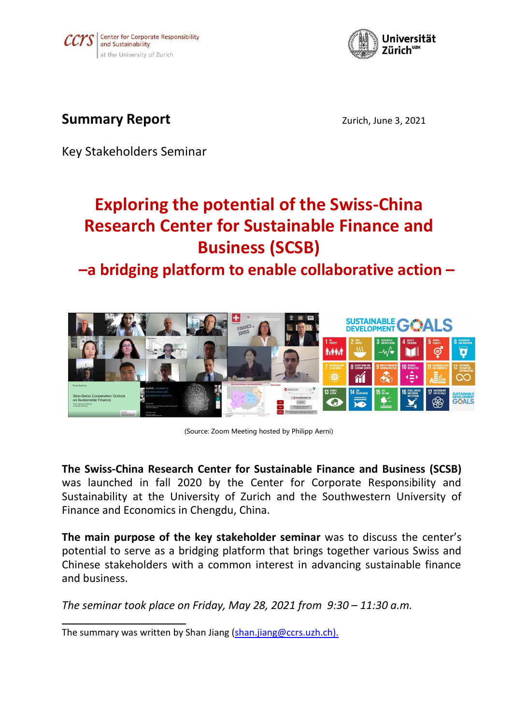



## **Summary Report Contract 2021** *Zurich, June 3, 2021*

Key Stakeholders Seminar

# **Exploring the potential of the Swiss-China Research Center for Sustainable Finance and Business (SCSB)**

**–a bridging platform to enable collaborative action –**



<sup>(</sup>Source: Zoom Meeting hosted by Philipp Aerni)

**The Swiss-China Research Center for Sustainable Finance and Business (SCSB)** was launched in fall 2020 by the Center for Corporate Responsibility and Sustainability at the University of Zurich and the Southwestern University of Finance and Economics in Chengdu, China.

**The main purpose of the key stakeholder seminar** was to discuss the center's potential to serve as a bridging platform that brings together various Swiss and Chinese stakeholders with acommon interest in advancing sustainable finance and business.

*The seminar took place on Friday, May 28, 2021 from 9:30 – 11:30 a.m.*

The summary was written by Shan Jiang [\(shan.jiang@ccrs.uzh.ch](mailto:annette.schmid@ccrs.uzh.ch)).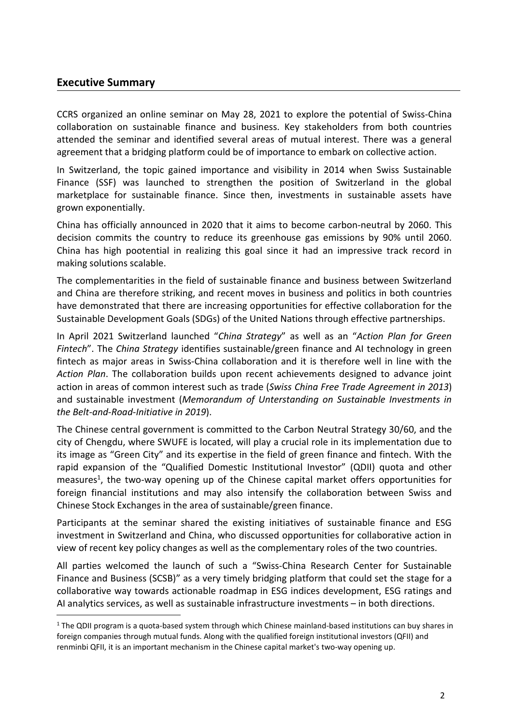#### **Executive Summary**

CCRS organized an online seminar on May 28, 2021 to explore the potential of Swiss-China collaboration on sustainable finance and business. Key stakeholders from both countries attended the seminar and identified several areas of mutual interest. There was a general agreement that a bridging platform could be of importance to embark on collective action.

In Switzerland, the topic gained importance and visibility in 2014 when Swiss Sustainable Finance (SSF) was launched to strengthen the position of Switzerland in the global marketplace for sustainable finance. Since then, investments in sustainable assets have grown exponentially.

China hasofficially announced in 2020 that it aims to become carbon-neutral by 2060. This decision commits the country to reduce its greenhouse gas emissions by 90% until 2060. China has high pootential in realizing this goal since it had an impressive track record in making solutions scalable.

The complementarities in the field of sustainable finance and business between Switzerland and China are therefore striking, and recent moves in business and politics in both countries have demonstrated that there are increasing opportunities for effective collaboration for the Sustainable Development Goals (SDGs) of the United Nations through effective partnerships.

In April 2021 Switzerland launched "*China Strategy*" as well as an "*Action Plan for Green Fintech*". The *China Strategy* identifies sustainable/green finance and AI technology in green fintech as major areas in Swiss-China collaboration and it is therefore well in line with the *Action Plan*. The collaboration builds upon recent achievements designed to advance joint action in areas of common interest such as trade (*Swiss China Free Trade Agreement in 2013*) and sustainable investment (*Memorandum of Unterstanding on Sustainable Investments in the Belt-and-Road-Initiative in 2019*).

The Chinese central government is committed to the Carbon Neutral Strategy 30/60, and the city of Chengdu, where SWUFE is located, will play a crucial role in its implementation due to its image as "Green City" and its expertise in the field of green finance and fintech. With the rapid expansion of the "Qualified Domestic Institutional Investor" (QDII) quota and other measures [1](#page-1-0) , the two-way opening up of the Chinese capital market offers opportunities for foreign financial institutions and may also intensify the collaboration between Swiss and Chinese Stock Exchanges in the area of sustainable/green finance.

Participants at the seminar shared the existing initiatives of sustainable finance and ESG investment in Switzerland and China, who discussed opportunities for collaborative action in view of recent key policy changes as well as the complementary roles of the two countries.

All parties welcomed the launch of such a "Swiss-China Research Center for Sustainable Finance and Business (SCSB)" as a very timely bridging platform that could set the stage for a collaborative way towards actionable roadmap in ESG indices development, ESG ratings and AI analytics services, as well as sustainable infrastructure investments – in both directions.

<span id="page-1-0"></span><sup>&</sup>lt;sup>1</sup> The QDII program is a quota-based system through which Chinese mainland-based institutions can buy shares in foreign companies through mutual funds. Along with the qualified foreign institutional investors (QFII) and renminbi QFII, it is an important mechanism in the Chinese capital market's two-way opening up.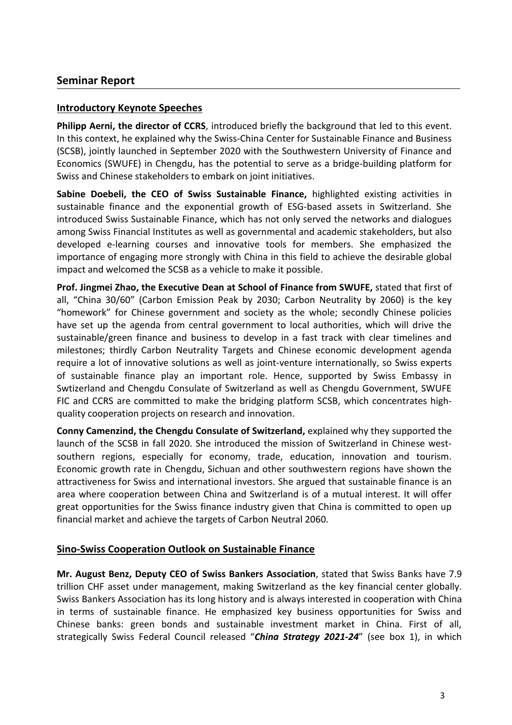#### **Seminar Report**

#### **Introductory Keynote Speeches**

**Philipp Aerni, the director of CCRS**, introduced briefly the background that led to this event. In this context, he explained why the Swiss-China Center for Sustainable Finance and Business (SCSB), jointly launched in September 2020 with the Southwestern University of Finance and Economics (SWUFE) in Chengdu, has the potential to serve as a bridge-building platform for Swiss and Chinese stakeholders to embark on joint initiatives.

**Sabine Doebeli, the CEO of Swiss Sustainable Finance,** highlighted existing activities in sustainable finance and the exponential growth of ESG-based assets in Switzerland. She introduced Swiss Sustainable Finance, which has not only served the networks and dialogues among Swiss Financial Institutes as well as governmental and academic stakeholders, but also developed e-learning courses and innovative tools for members. She emphasized the importance of engaging more strongly with China in this field to achieve the desirable global impact and welcomed the SCSB as a vehicle to make it possible.

**Prof. Jingmei Zhao, the Executive Dean at School of Finance from SWUFE,** stated that first of all, "China 30/60" (Carbon Emission Peak by 2030; Carbon Neutrality by 2060) is the key "homework" for Chinese government and society as the whole; secondly Chinese policies have set up the agenda from central government to local authorities, which will drive the sustainable/green finance and business to develop in afast track with clear timelines and milestones; thirdly Carbon Neutrality Targets and Chinese economic development agenda require a lot of innovative solutions as well as joint-venture internationally, so Swiss experts of sustainable finance play an important role. Hence, supported by Swiss Embassy in Swtizerland and Chengdu Consulate of Switzerland as well as Chengdu Government, SWUFE FIC and CCRS are committed to make the bridging platform SCSB, which concentrates high quality cooperation projects on research and innovation.

**Conny Camenzind, the Chengdu Consulate of Switzerland,** explained why they supported the launch of the SCSB in fall 2020. She introduced the mission of Switzerland in Chinese west southern regions, especially for economy, trade, education, innovation and tourism. Economic growth rate in Chengdu, Sichuan and other southwestern regions have shown the attractiveness for Swiss and international investors. She argued that sustainable finance is an area where cooperation between China and Switzerland is of a mutual interest. It will offer great opportunities for the Swiss finance industry given that China is committed to open up financial market and achieve the targets of Carbon Neutral 2060.

#### **Sino-Swiss Cooperation Outlook on Sustainable Finance**

**Mr. August Benz, Deputy CEO of Swiss Bankers Association**, stated that Swiss Banks have 7.9 trillion CHF asset under management, making Switzerland as the key financial center globally. Swiss Bankers Association has its long history and is always interested in cooperation with China in terms of sustainable finance. He emphasized key business opportunities for Swiss and Chinese banks: green bonds and sustainable investment market in China. First of all, strategically Swiss Federal Council released "*China Strategy 2021-24*" (see box 1), in which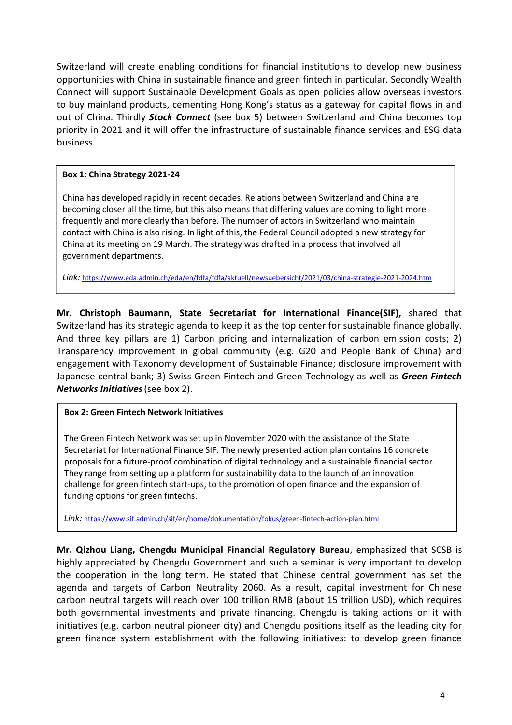Switzerland will create enabling conditions for financial institutions to develop new business opportunities with China in sustainable finance and green fintech in particular. Secondly Wealth Connect will support Sustainable Development Goals as open policies allow overseas investors to buy mainland products, cementing Hong Kong's status as a gateway for capital flows in and out of China. Thirdly *Stock Connect* (see box 5) between Switzerland and China becomes top priority in 2021 and it will offer the infrastructure of sustainable finance services and ESG data business.

#### **Box 1: China Strategy 2021-24**

China has developed rapidly in recent decades. Relations between Switzerland and China are becoming closer all the time, but this also means that differing values are coming to light more frequently and more clearly than before. The number of actors in Switzerland who maintain contact with China is also rising. In light of this, the Federal Council adopted a new strategy for China at its meeting on 19 March. The strategy was drafted in a process that involved all government departments.

*Link:* https://www.eda.admin.ch/eda/en/fdfa/fdfa/aktuell/newsuebersicht/2021/03/china-strategie-2021-2024.htm

**Mr. Christoph Baumann, State Secretariat for International Finance(SIF),** shared that Switzerland has its strategic agenda to keep it as the top center for sustainable finance globally. And three key pillars are 1) Carbon pricing and internalization of carbon emission costs; 2) Transparency improvement in global community (e.g. G20 and People Bank of China) and engagement with Taxonomy development of Sustainable Finance; disclosure improvement with Japanese central bank; 3) Swiss Green Fintech and Green Technology as well as *Green Fintech Networks Initiatives*(see box 2).

#### **Box 2: Green Fintech Network Initiatives**

The Green Fintech Network was set up in November 2020 with the assistance of the State Secretariat for International Finance SIF. The newly presented action plan contains 16 concrete proposals for a future-proof combination of digital technology and a sustainable financial sector. They range from setting up a platform for sustainability data to the launch of an innovation challenge for green fintech start-ups, to the promotion of open finance and the expansion of funding options for green fintechs.

*Link:* https://www.sif.admin.ch/sif/en/home/dokumentation/fokus/green-fintech-action-plan.html

**Mr. Qizhou Liang, Chengdu Municipal Financial Regulatory Bureau**, emphasized that SCSB is highly appreciated by Chengdu Government and such a seminar is very important to develop the cooperation in the long term. He stated that Chinese central government has set the agenda and targets of Carbon Neutrality 2060. As a result, capital investment for Chinese carbon neutral targets will reach over 100 trillion RMB (about 15 trillion USD), which requires both governmental investments and private financing. Chengdu is taking actions on it with initiatives (e.g. carbon neutral pioneer city) and Chengdu positions itself as the leading city for green finance system establishment with the following initiatives: to develop green finance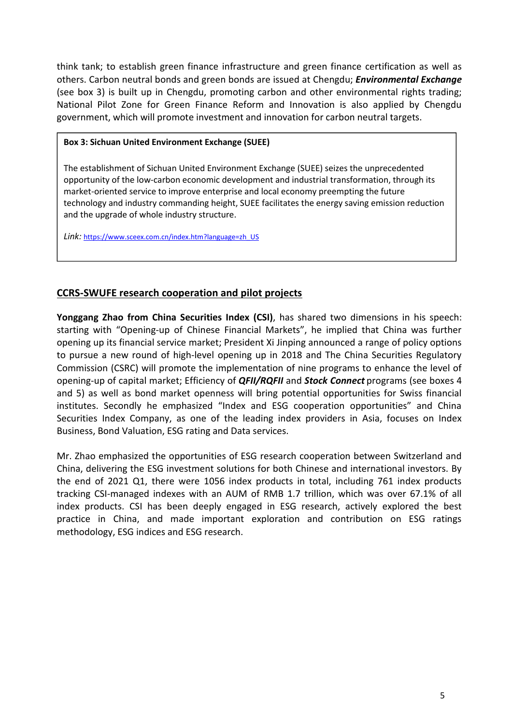think tank; to establish green finance infrastructure and green finance certification as well as others. Carbon neutral bonds and green bonds are issued at Chengdu; *Environmental Exchange* (see box 3) is built up in Chengdu, promoting carbon and other environmental rights trading; National Pilot Zone for Green Finance Reform and Innovation is also applied by Chengdu government, which will promote investment and innovation for carbon neutral targets.

#### **Box 3: Sichuan United Environment Exchange (SUEE)**

The establishment of Sichuan United Environment Exchange (SUEE) seizes the unprecedented opportunity of the low-carbon economic development and industrial transformation, through its market-oriented service to improve enterprise and local economy preempting the future technology and industry commanding height, SUEE facilitates the energy saving emission reduction and the upgrade of whole industry structure.

*Link:* https://www.sceex.com.cn/index.htm?language=zh\_US

### **CCRS-SWUFE research cooperation and pilot projects**

**Yonggang Zhao from China Securities Index (CSI)**, has shared two dimensions in his speech: starting with "Opening-up of Chinese Financial Markets", he implied that China was further opening up its financial service market; President Xi Jinping announced a range of policy options to pursue a new round of high-level opening up in 2018 and The China Securities Regulatory Commission (CSRC) will promote the implementation of nine programs to enhance the level of opening-up of capital market; Efficiency of *QFII/RQFII* and *Stock Connect* programs (see boxes 4 and 5) as well as bond market openness will bring potential opportunities for Swiss financial institutes. Secondly he emphasized "Index and ESG cooperation opportunities" and China Securities Index Company, as one of the leading index providers in Asia, focuses on Index Business, Bond Valuation, ESG rating and Data services.

Mr. Zhao emphasized the opportunities of ESG research cooperation between Switzerland and China, delivering the ESG investment solutions for both Chinese and international investors. By the end of 2021 Q1, there were 1056 index products in total, including 761 index products tracking CSI-managed indexes with an AUM of RMB 1.7 trillion, which was over 67.1% of all index products. CSI has been deeply engaged in ESG research, actively explored the best practice in China, and made important exploration and contribution on ESG ratings methodology, ESG indices and ESG research.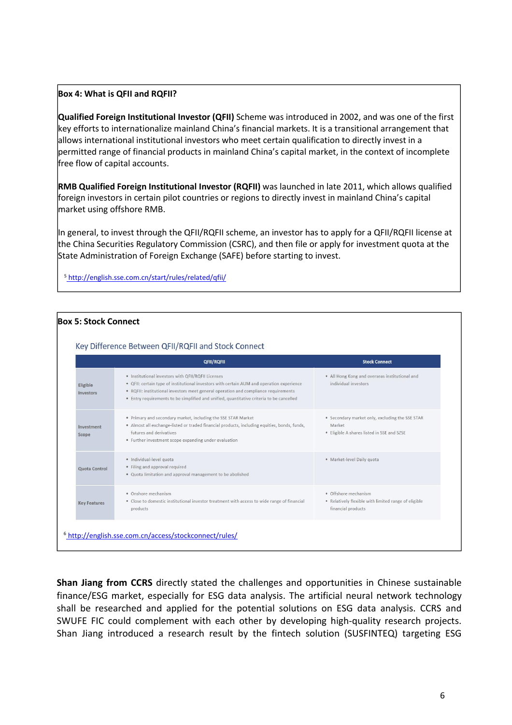#### **Box 4: What is QFII and RQFII?**

**Qualified Foreign Institutional Investor (QFII)** Scheme was introduced in 2002, and was one of the first key efforts to internationalize mainland China's financial markets. It is a transitional arrangement that allows international institutional investors who meet certain qualification to directly invest in a permitted range of financial products in mainland China's capital market, in the context of incomplete free flow of capital accounts.

**RMB Qualified Foreign Institutional Investor (RQFII)** was launched in late 2011, which allows qualified foreign investors in certain pilot countries or regions to directly invest in mainland China's capital market using offshore RMB.

In general, to invest through the QFII/RQFII scheme, an investor has to apply for a QFII/RQFII license at the China Securities Regulatory Commission (CSRC), and then file or apply for investment quota at the State Administration of Foreign Exchange (SAFE) before starting to invest.

<sup>5</sup> http://english.sse.com.cn/start/rules/related/qfii/

#### **Box 5: Stock Connect** Key Difference Between QFII/RQFII and Stock Connect OFIL/ROFIL **Stock Connect** . Institutional investors with OFII/ROFILLicenses . All Hong Kong and overseas institutional and . QFII: certain type of institutional investors with certain AUM and operation experience individual investors Eligible • ROFII: institutional investors meet general operation and compliance requirements Investors • Entry requirements to be simplified and unified, quantitative criteria to be cancelled • Primary and secondary market, including the SSE STAR Market • Secondary market only, excluding the SSE STAR · Almost all exchange-listed or traded financial products, including equities, bonds, funds, Market Investment futures and derivatives • Eligible A shares listed in SSE and SZSE Scope • Further investment scope expanding under evaluation · Individual-level quota · Market-level Daily quota • Filing and approval required **Quota Control** . Quota limitation and approval management to be abolished • Onshore mechanism • Offshore mechanism • Close to domestic institutional investor treatment with access to wide range of financial • Relatively flexible with limited range of eligible **Key Features** products financial products <sup>6</sup> http://english.sse.com.cn/access/stockconnect/rules/

**Shan Jiang from CCRS** directly stated the challenges and opportunities in Chinese sustainable finance/ESG market, especially for ESG data analysis. The artificial neural network technology shall be researched and applied for the potential solutions on ESG data analysis. CCRS and SWUFE FIC could complement with each other by developing high-quality research projects. Shan Jiang introduced a research result by the fintech solution (SUSFINTEQ) targeting ESG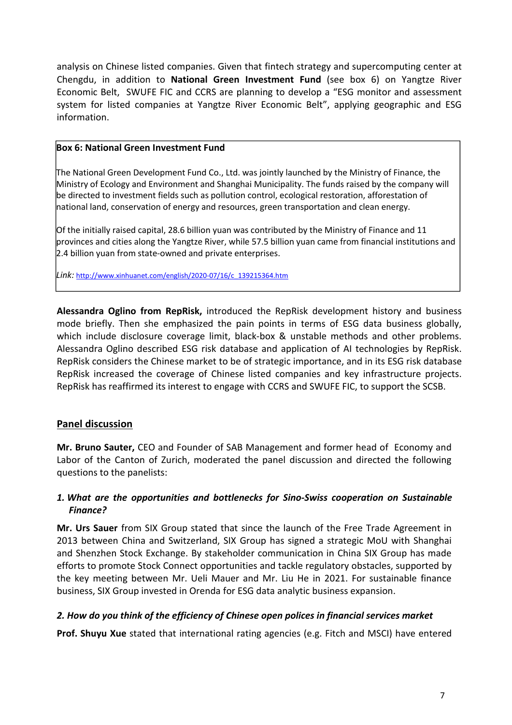analysis on Chinese listed companies. Given that fintech strategy and supercomputing center at Chengdu, in addition to **National Green Investment Fund** (see box 6) on Yangtze River Economic Belt, SWUFE FIC and CCRS are planning to develop a "ESG monitor and assessment system for listed companies at Yangtze River Economic Belt", applying geographic and ESG information.

#### **Box 6: National Green Investment Fund**

The National Green Development Fund Co., Ltd. was jointly launched by the Ministry of Finance, the Ministry of Ecology and Environment and Shanghai Municipality. The funds raised by the company will be directed to investment fields such as pollution control, ecological restoration, afforestation of national land, conservation of energy and resources, green transportation and clean energy.

Of the initially raised capital, 28.6 billion yuan was contributed by the Ministry of Finance and 11 provinces and cities along the Yangtze River, while 57.5 billion yuan came from financial institutions and 2.4 billion yuan from state-owned and private enterprises.

*Link:* http://www.xinhuanet.com/english/2020-07/16/c\_139215364.htm

**Alessandra Oglino from RepRisk,** introduced the RepRisk development history and business mode briefly. Then she emphasized the pain points in terms of ESG data business globally, which include disclosure coverage limit, black-box & unstable methods and other problems. Alessandra Oglino described ESG risk database and application of AI technologies by RepRisk.<br>RepRisk considers the Chinese market to be of strategic importance, and in its ESG risk database RepRisk increased the coverage of Chinese listed companies and key infrastructure projects. RepRisk has reaffirmed its interest to engage with CCRS and SWUFE FIC, to support the SCSB.

#### **Panel discussion**

**Mr. Bruno Sauter,** CEO and Founder of SAB Management and former head of Economy and Labor of the Canton of Zurich, moderated the panel discussion and directed the following questions to the panelists:

#### *1. What are the opportunities and bottlenecks for Sino-Swiss cooperation on Sustainable Finance?*

**Mr. Urs Sauer** from SIX Group stated that since the launch of the Free Trade Agreement in 2013 between China and Switzerland, SIX Group has signed a strategic MoU with Shanghai and Shenzhen Stock Exchange. By stakeholder communication in China SIX Group has made efforts to promote Stock Connect opportunities and tackle regulatory obstacles, supported by the key meeting between Mr. Ueli Mauer and Mr. Liu He in 2021. For sustainable finance business, SIX Group invested in Orenda for ESG data analytic business expansion.

#### *2. How do you think of the efficiency of Chinese open polices in financial services market*

**Prof. Shuyu Xue** stated that international rating agencies (e.g. Fitch and MSCI) have entered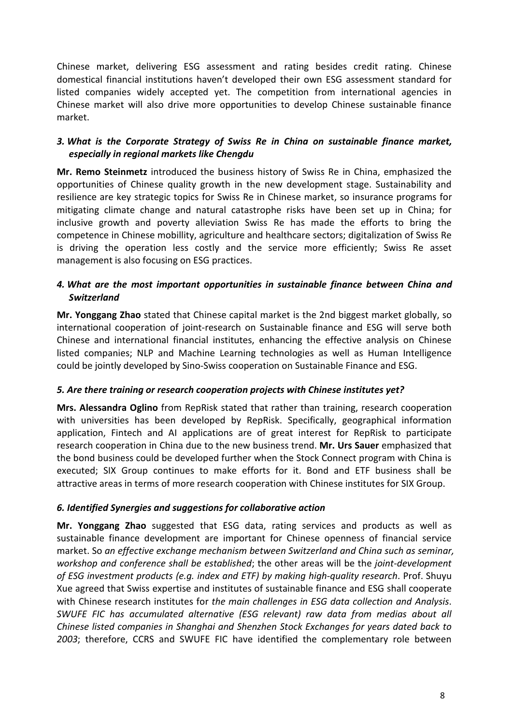Chinese market, delivering ESG assessment and rating besides credit rating. Chinese domestical financial institutions haven't developed their own ESG assessment standard for listed companies widely accepted yet. The competition from international agencies in Chinese market will also drive more opportunities to develop Chinese sustainable finance market.

#### *3. What is the Corporate Strategy of Swiss Re in China on sustainable finance market, especially in regional markets like Chengdu*

**Mr. Remo Steinmetz** introduced the business history of Swiss Re in China, emphasized the opportunities of Chinese quality growth in the new development stage. Sustainability and resilience are key strategic topics for Swiss Re in Chinese market, so insurance programs for mitigating climate change and natural catastrophe risks have been set up in China; for inclusive growth and poverty alleviation Swiss Re hasmade the efforts to bring the competence in Chinese mobillity, agriculture and healthcare sectors; digitalization of Swiss Re is driving the operation less costly and the service more efficiently; Swiss Re asset management is also focusing on ESG practices.

#### *4. What are the most important opportunities in sustainable finance between China and Switzerland*

**Mr. Yonggang Zhao** stated that Chinese capital market is the 2nd biggest market globally, so international cooperation of joint-research on Sustainable finance and ESG will serve both Chinese and international financial institutes, enhancing the effective analysis on Chinese listed companies; NLP and Machine Learning technologies as well as Human Intelligence could be jointly developed by Sino-Swiss cooperation on Sustainable Finance and ESG.

#### *5. Are there training or research cooperation projects with Chinese institutes yet?*

**Mrs. Alessandra Oglino** from RepRisk stated that rather than training, research cooperation with universities has been developed by RepRisk. Specifically, geographical information application, Fintech and AI applications are of great interest for RepRisk to participate research cooperation in China due to the new business trend. **Mr. Urs Sauer** emphasized that the bond business could be developed further when the Stock Connect program with China is executed; SIX Group continues to make efforts for it. Bond and ETF business shall be attractive areas in terms of more research cooperation with Chinese institutes for SIX Group.

#### *6. Identified Synergies and suggestions for collaborative action*

**Mr. Yonggang Zhao** suggested that ESG data, rating services and products as well as sustainable finance development are important for Chinese openness of financial service market. So *an effective exchange mechanism between Switzerland and China such as seminar, workshop and conference shall be established*; the other areas will be the *joint-development of ESG investment products (e.g. index and ETF) by making high-quality research*. Prof. Shuyu Xue agreed that Swiss expertise and institutes of sustainable finance and ESG shall cooperate with Chinese research institutes for *the main challenges in ESG datacollection and Analysis*. *SWUFE FIC has accumulated alternative (ESG relevant) raw data from medias about all Chinese listed companies in Shanghai and Shenzhen Stock Exchanges for years dated back to 2003*; therefore, CCRS and SWUFE FIC have identified the complementary role between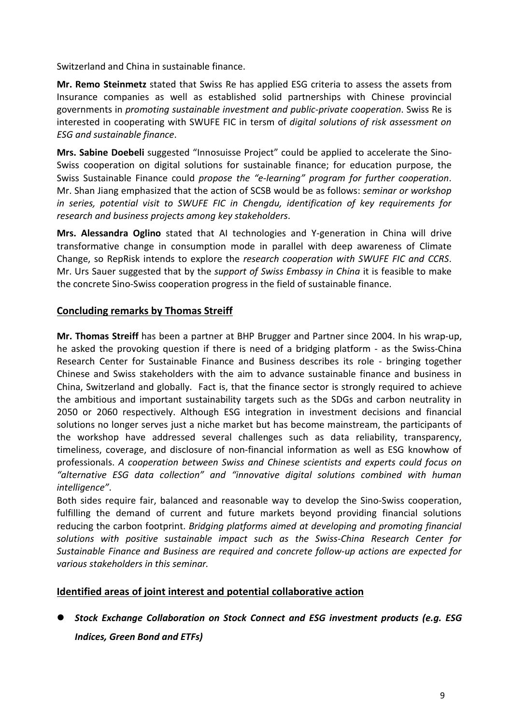Switzerland and China in sustainable finance.

**Mr. Remo Steinmetz** stated that Swiss Re has applied ESG criteria to assess the assets from Insurance companies as well as established solid partnerships with Chinese provincial governments in *promoting sustainable investment and public-private cooperation*. Swiss Re is interested in cooperating with SWUFE FIC in tersm of *digital solutions of risk assessment on ESG and sustainable finance*.

**Mrs. Sabine Doebeli** suggested "Innosuisse Project" could be applied to accelerate the Sino- Swiss cooperation on digital solutions for sustainable finance; for education purpose, the Swiss Sustainable Finance could propose the "e-learning" program for further cooperation.<br>Mr. Shan Jiang emphasized that the action of SCSB would be as follows: seminar or workshop *in series, potential visit to SWUFE FIC in Chengdu, identification of key requirements for research and business projects among key stakeholders*.

**Mrs. Alessandra Oglino** stated that AI technologies and Y-generation in China will drive transformative change in consumption mode in parallel with deep awareness of Climate Change, so RepRisk intends to explore the *research cooperation with SWUFE FIC and CCRS*. Mr. Urs Sauer suggested that by the *support of Swiss Embassy in China* itis feasible to make the concrete Sino-Swiss cooperation progress in the field of sustainable finance.

#### **Concluding remarks by Thomas Streiff**

**Mr. Thomas Streiff** has been a partner at BHP Brugger and Partnersince 2004. In his wrap-up, he asked the provoking question if there is need of a bridging platform - as the Swiss-China Research Center for Sustainable Finance and Business describes its role - bringing together Chinese and Swiss stakeholders with the aim to advance sustainable finance and business in China, Switzerland and globally. Fact is, that the finance sector is strongly required to achieve the ambitious and important sustainability targets such as the SDGs and carbon neutrality in 2050 or 2060 respectively. Although ESG integration in investment decisions and financial solutions no longer serves just a niche market but has become mainstream, the participants of the workshop have addressed several challenges such as data reliability, transparency, timeliness, coverage, and disclosure of non-financial information as well as ESG knowhow of professionals. *A cooperation between Swiss and Chinese scientists and experts could focus on "alternative ESG data collection" and "innovative digital solutions combined with human intelligence"*.

Both sides require fair, balanced and reasonable way to develop the Sino-Swiss cooperation, fulfilling the demand of current and future markets beyond providing financial solutions reducing the carbon footprint. *Bridging platforms aimed at developing and promoting financial solutions with positive sustainable impact such as the Swiss-China Research Centerfor Sustainable Finance and Business are required and concrete follow-up actions are expected for various stakeholders in this seminar.*

#### **Identified areas of joint interest and potential collaborative action**

 *Stock Exchange Collaboration on Stock Connect and ESG investment products (e.g. ESG Indices, Green Bond and ETFs)*